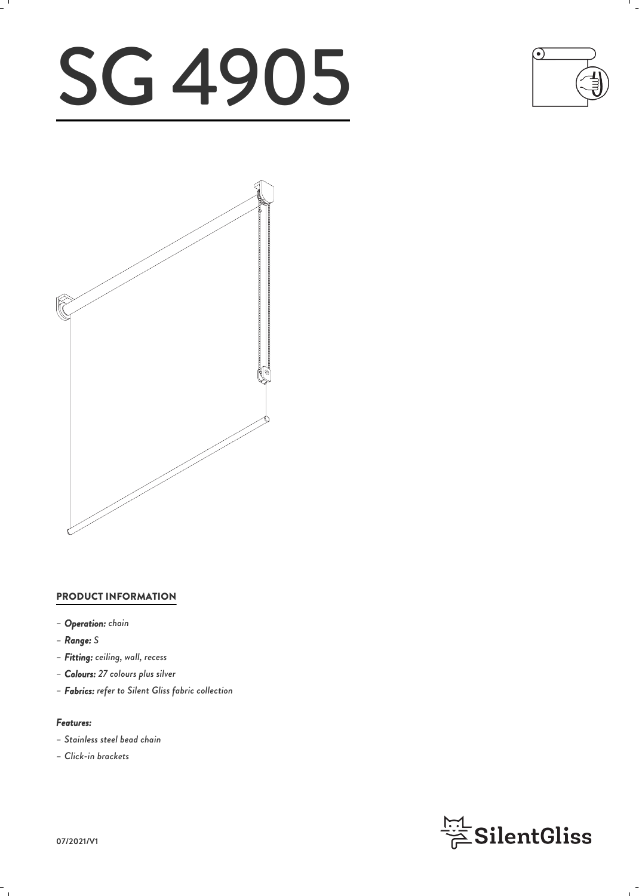# SG 4905





#### PRODUCT INFORMATION

- *– Operation: chain*
- *– Range: S*
- *– Fitting: ceiling, wall, recess*
- *– Colours: 27 colours plus silver*
- *– Fabrics: refer to Silent Gliss fabric collection*

#### *Features:*

- *– Stainless steel bead chain*
- *– Click-in brackets*

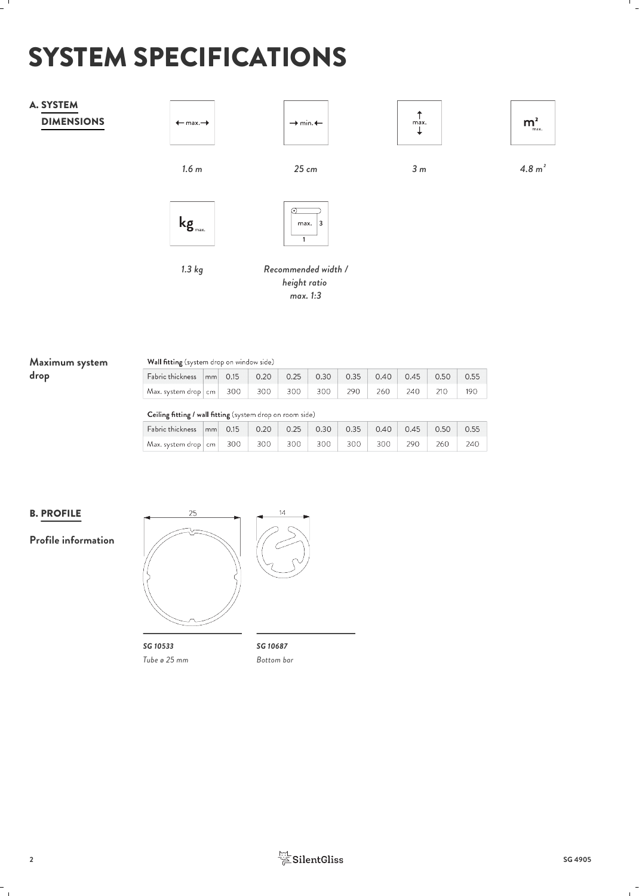# SYSTEM SPECIFICATIONS



| Maximum system<br>drop | Wall fitting (system drop on window side)                 |    |      |      |      |      |      |      |      |      |      |
|------------------------|-----------------------------------------------------------|----|------|------|------|------|------|------|------|------|------|
|                        | Fabric thickness                                          | mm | 0.15 | 0.20 | 0.25 | 0.30 | 0.35 | 0.40 | 0.45 | 0.50 | 0.55 |
|                        | Max. system drop   cm                                     |    | 300  | 300  | 300  | 300  | 290  | 260  | 240  | 210  | 190  |
|                        | Ceiling fitting / wall fitting (system drop on room side) |    |      |      |      |      |      |      |      |      |      |
|                        | Fabric thickness                                          | mm | 0.15 | 0.20 | 0.25 | 0.30 | 0.35 | 0.40 | 0.45 | 0.50 | 0.55 |

300

300

300

300

300

290

260

240

300

**Profile information**



*Tube ø 25 mm*

Max. system drop cm

*Bottom bar*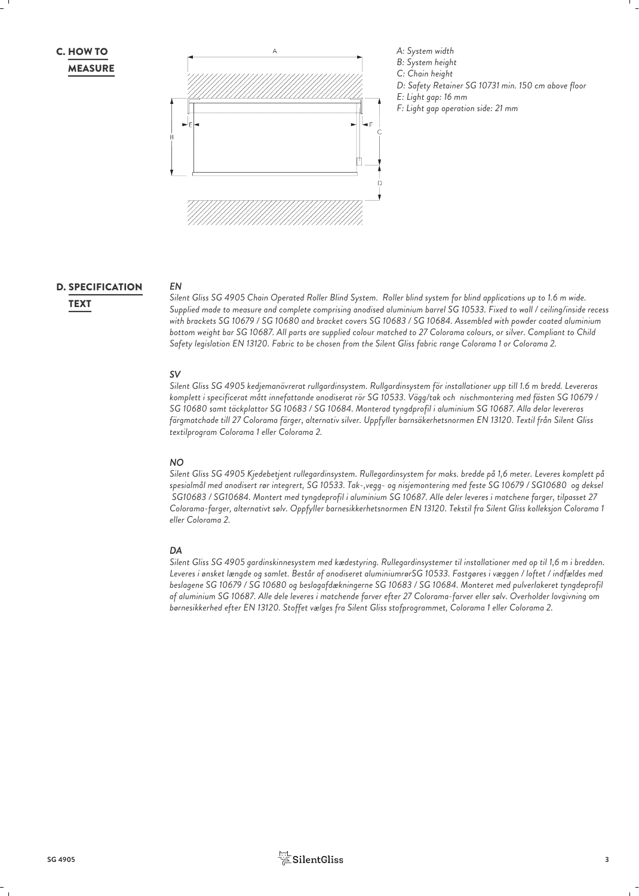**MEASURE** C. HOW TO



#### D. SPECIFICATION EN

*EN Silent Gliss SG 4905 Chain Operated Roller Blind System. Roller blind system for blind applications up to 1.6 m wide. Supplied made to measure and complete comprising anodised aluminium barrel SG 10533. Fixed to wall / ceiling/inside recess* TEXT *with brackets SG 10679 / SG 10680 and bracket covers SG 10683 / SG 10684. Assembled with powder coated aluminium bottom weight bar SG 10687. All parts are supplied colour matched to 27 Colorama colours, or silver. Compliant to Child Safety legislation EN 13120. Fabric to be chosen from the Silent Gliss fabric range Colorama 1 or Colorama 2.*

#### *SV*

*Silent Gliss SG 4905 kedjemanövrerat rullgardinsystem. Rullgardinsystem för installationer upp till 1.6 m bredd. Levereras komplett i specificerat mått innefattande anodiserat rör SG 10533. Vägg/tak och nischmontering med fästen SG 10679 / SG 10680 samt täckplattor SG 10683 / SG 10684. Monterad tyngdprofil i aluminium SG 10687. Alla delar levereras färgmatchade till 27 Colorama färger, alternativ silver. Uppfyller barnsäkerhetsnormen EN 13120. Textil från Silent Gliss textilprogram Colorama 1 eller Colorama 2.*

#### *NO*

*Silent Gliss SG 4905 Kjedebetjent rullegardinsystem. Rullegardinsystem for maks. bredde på 1,6 meter. Leveres komplett på spesialmål med anodisert rør integrert, SG 10533. Tak-,vegg- og nisjemontering med feste SG 10679 / SG10680 og deksel SG10683 / SG10684. Montert med tyngdeprofil i aluminium SG 10687. Alle deler leveres i matchene farger, tilpasset 27 Colorama-farger, alternativt sølv. Oppfyller barnesikkerhetsnormen EN 13120. Tekstil fra Silent Gliss kolleksjon Colorama 1 eller Colorama 2.*

#### *DA*

*Silent Gliss SG 4905 gardinskinnesystem med kædestyring. Rullegardinsystemer til installationer med op til 1,6 m i bredden. Leveres i ønsket længde og samlet. Består af anodiseret aluminiumrørSG 10533. Fastgøres i væggen / loftet / indfældes med beslagene SG 10679 / SG 10680 og beslagafdækningerne SG 10683 / SG 10684. Monteret med pulverlakeret tyngdeprofil af aluminium SG 10687. Alle dele leveres i matchende farver efter 27 Colorama-farver eller sølv. Overholder lovgivning om børnesikkerhed efter EN 13120. Stoffet vælges fra Silent Gliss stofprogrammet, Colorama 1 eller Colorama 2.*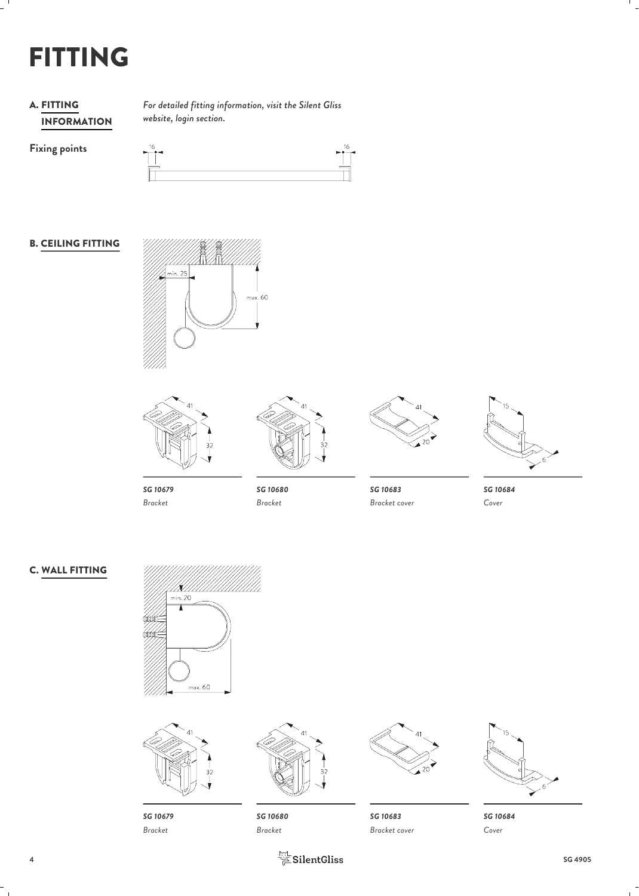## FITTING

#### INFORMATION A. FITTING

*For detailed fitting information, visit the Silent Gliss* FITTING *website, login section.*



#### B. CEILING FITTING





*SG 10679 Bracket*



*Bracket*



*SG 10680*

*Bracket cover*



*SG 10683 SG 10684 Cover*

#### C. WALL FITTING





*Bracket*





*SG 10680 SG 10683 SG 10684 Bracket cover*



*Cover*

**4 1 SilentGliss 1 SilentGliss 1 SilentGliss 1 SILENGLIS**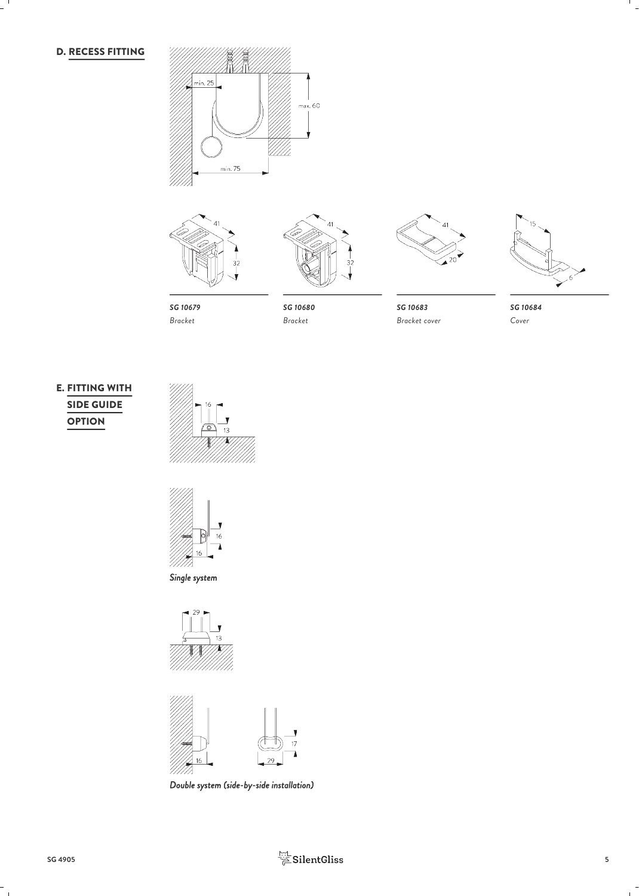



*Bracket*

*SG 10679*



*Bracket*









SIDE GUIDE OPTION A





*Single system*





*Double system (side-by-side installation)*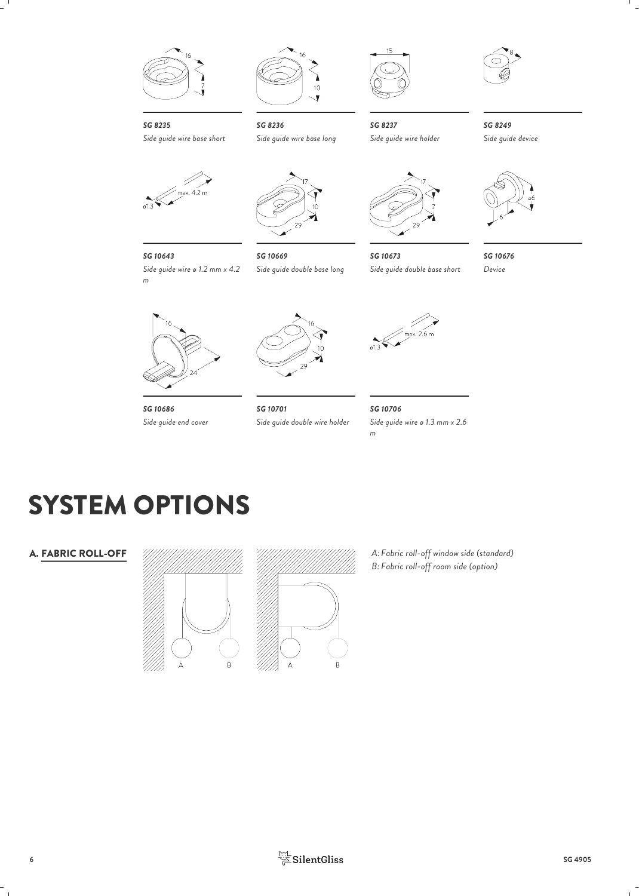







*SG 8235 Side guide wire base short*

*Side guide wire base long*

*SG 8236 SG 8237 SG 8249 Side guide wire holder*

*Side guide device*





*SG 10643 Side guide wire ø 1.2 mm x 4.2*

*m*



SG 10673 *Side guide double base long Side guide double base short SG 10673 SG 10676*

*Device*







*Side guide end cover*

*SG 10686 SG 10701 Side guide double wire holder*

*SG 10706 Side guide wire ø 1.3 mm x 2.6 m*

## SYSTEM OPTIONS

#### A. FABRIC ROLL-OFF *A:*



*Fabric roll-off window side (standard) Fabric roll-off room side (option) B:*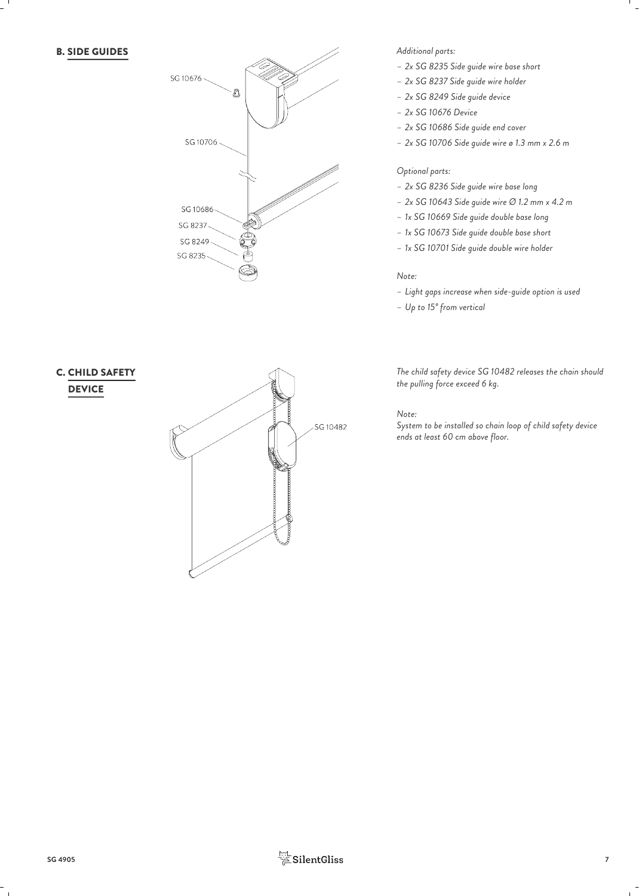#### B. SIDE GUIDES



#### *Additional parts:*

- *– 2x SG 8235 Side guide wire base short*
- *– 2x SG 8237 Side guide wire holder*
- *– 2x SG 8249 Side guide device*
- *– 2x SG 10676 Device*
- *– 2x SG 10686 Side guide end cover*
- *– 2x SG 10706 Side guide wire ø 1.3 mm x 2.6 m*

#### *Optional parts:*

- *– 2x SG 8236 Side guide wire base long*
- *– 2x SG 10643 Side guide wire Ø 1.2 mm x 4.2 m*
- *– 1x SG 10669 Side guide double base long*
- *– 1x SG 10673 Side guide double base short*
- *– 1x SG 10701 Side guide double wire holder*

#### *Note:*

- *– Light gaps increase when side-guide option is used*
- *– Up to 15° from vertical*

*The child safety device SG 10482 releases the chain should the pulling force exceed 6 kg.*

#### *Note:*

*System to be installed so chain loop of child safety device ends at least 60 cm above floor.* 

## DEVICE

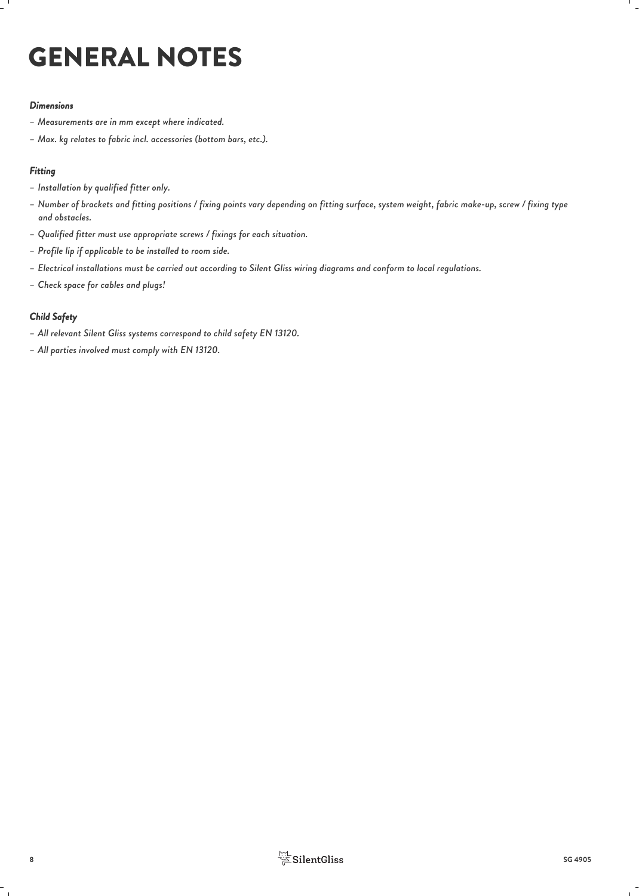# GENERAL NOTES

#### *Dimensions*

- *– Measurements are in mm except where indicated.*
- *– Max. kg relates to fabric incl. accessories (bottom bars, etc.).*

#### *Fitting*

- *– Installation by qualified fitter only.*
- *– Number of brackets and fitting positions / fixing points vary depending on fitting surface, system weight, fabric make-up, screw / fixing type and obstacles.*
- *– Qualified fitter must use appropriate screws / fixings for each situation.*
- *– Profile lip if applicable to be installed to room side.*
- *– Electrical installations must be carried out according to Silent Gliss wiring diagrams and conform to local regulations.*
- *– Check space for cables and plugs!*

#### *Child Safety*

- *– All relevant Silent Gliss systems correspond to child safety EN 13120.*
- *– All parties involved must comply with EN 13120.*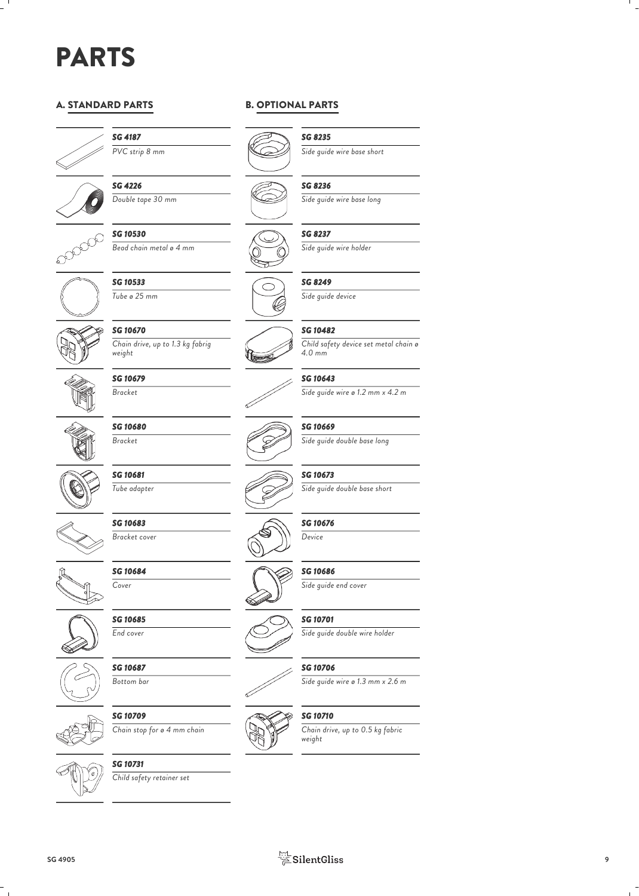## PARTS

#### A. STANDARD PARTS

*SG 4187*



*SG 4226 Double tape 30 mm Side guide wire base long*

000000 *SG 10530 Bead chain metal ø 4 mm*

*SG 10533 Tube ø 25 mm Side guide device*



*SG 10670 Chain drive, up to 1.3 kg fabrig weight*



*SG 10679 Bracket*

> *SG 10680 Bracket*





*SG 10683 Bracket cover*

*SG 10684 Cover*

*Tube adapter*



*End cover*

*SG 10687*

*SG 10685*



*Bottom bar SG 10709*



*Chain stop for ø 4 mm chain*



*Child safety retainer set*

#### B. OPTIONAL PARTS



*PVC strip 8 mm Side guide wire base short SG 8235*

*Side guide wire holder*



*SG 8237*

*SG 8249*

























*Chain drive, up to 0.5 kg fabric weight*

#### *SG 10482 Child safety device set metal chain ø 4.0 mm*

## *SG 10643 Side guide wire ø 1.2 mm x 4.2 m*

## *SG 10669 Side guide double base long*

*SG 10673 Side guide double base short*

#### *SG 10676 Device*

## *SG 10686*

*Side guide end cover*



#### *Side guide double wire holder*

## *SG 10706*

*Side guide wire ø 1.3 mm x 2.6 m*



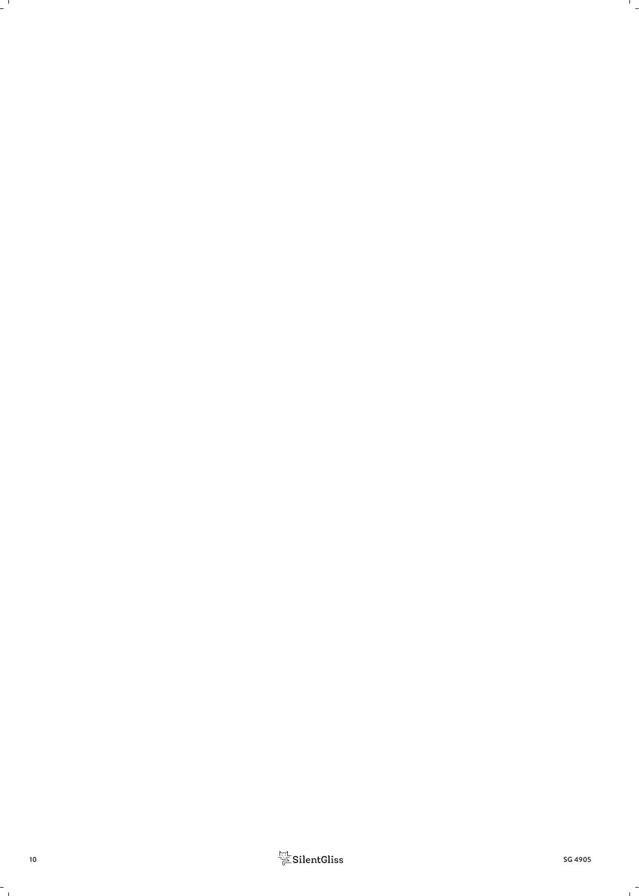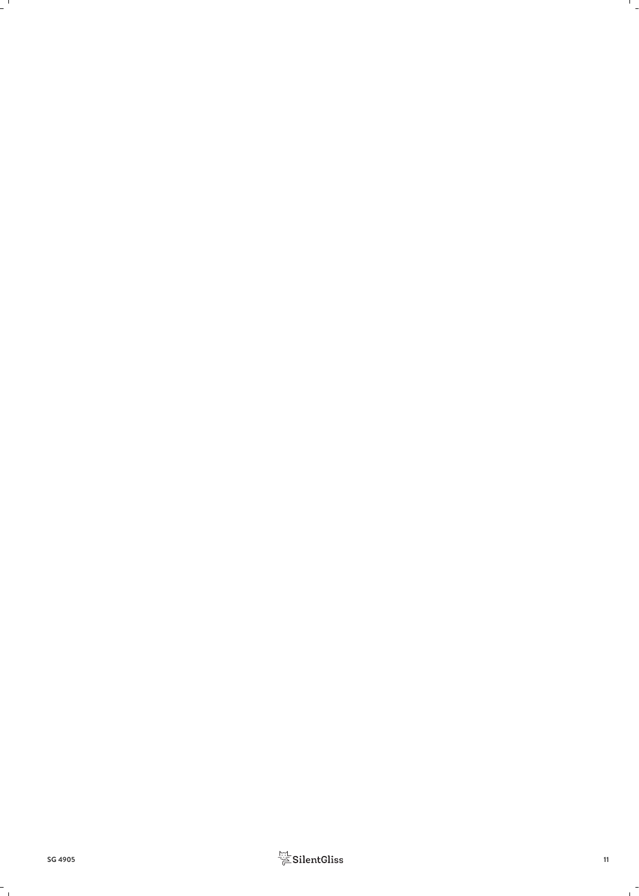